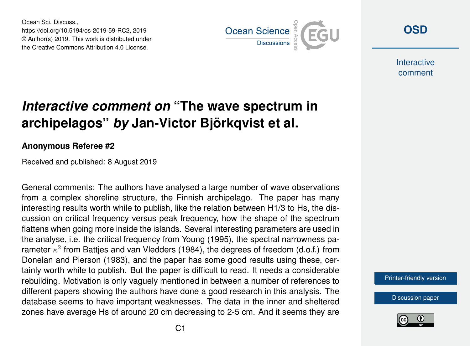Ocean Sci. Discuss., https://doi.org/10.5194/os-2019-59-RC2, 2019 © Author(s) 2019. This work is distributed under the Creative Commons Attribution 4.0 License.



**[OSD](https://www.ocean-sci-discuss.net/)**

**Interactive** comment

## *Interactive comment on* **"The wave spectrum in archipelagos"** *by* **Jan-Victor Björkqvist et al.**

## **Anonymous Referee #2**

Received and published: 8 August 2019

General comments: The authors have analysed a large number of wave observations from a complex shoreline structure, the Finnish archipelago. The paper has many interesting results worth while to publish, like the relation between H1/3 to Hs, the discussion on critical frequency versus peak frequency, how the shape of the spectrum flattens when going more inside the islands. Several interesting parameters are used in the analyse, i.e. the critical frequency from Young (1995), the spectral narrowness parameter  $\kappa^2$  from Battjes and van Vledders (1984), the degrees of freedom (d.o.f.) from Donelan and Pierson (1983), and the paper has some good results using these, certainly worth while to publish. But the paper is difficult to read. It needs a considerable rebuilding. Motivation is only vaguely mentioned in between a number of references to different papers showing the authors have done a good research in this analysis. The database seems to have important weaknesses. The data in the inner and sheltered zones have average Hs of around 20 cm decreasing to 2-5 cm. And it seems they are

[Printer-friendly version](https://www.ocean-sci-discuss.net/os-2019-59/os-2019-59-RC2-print.pdf)

[Discussion paper](https://www.ocean-sci-discuss.net/os-2019-59)